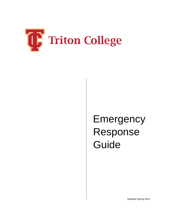

# Emergency Response Guide

Updated Spring 2021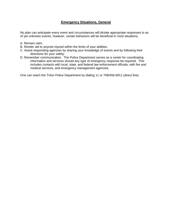## **Emergency Situations, General**

No plan can anticipate every event and circumstances will dictate appropriate responses to as of yet unknown events, however, certain behaviors will be beneficial in most situations.

- A. Remain calm.
- B. Render aid to anyone injured within the limits of your abilities.
- C. Assist responding agencies by sharing your knowledge of events and by following their directions for your safety.
- D. Remember communication. The Police Department serves as a center for coordinating information and services should any type of emergency response be required. This includes contacts with local, state, and federal law enforcement officials, with fire and medical services, and emergency management agencies.

One can reach the Triton Police Department by dialing 11 or 708/456-6911 (direct line).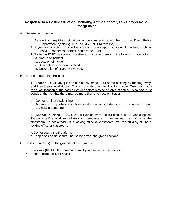## **Response to a Hostile Situation, Including Active Shooter, Law Enforcement Emergencies**

- A. General Information
	- 1. Be alert to suspicious situations or persons and report them to the Triton Police Department by dialing 11 or 708/456-6911 (direct line).
	- 2. If you are a victim of or witness to any on-campus violation of the law, such as assault, robberies, or theft, contact the TCPD.
	- 3. Notify the TCPD as soon as possible and provide them with the following information: a. Nature of incident.
		- b. Location of incident.
		- c. Description of person involved.
		- d. Description of property involved.
- B. Hostile Intruder in a Building

**1. (Escape – GET OUT)** if one can safely make it out of the building by running away, and then they should do so. This is normally one's best option. Note: One must know the exact location of the hostile intruder before leaving an area of safety. Also one must consider the fact that there may be more than one hostile intruder

- a. Do not run in a straight line.
- b. Attempt to keep objects such as, desks, cabinets, fixtures, etc… between you and the hostile person(s).

**2. (Shelter in Place- HIDE OUT)** If running from the building is not a viable option, Faculty (staff) should immediately lock students and themselves in an office or the classroom. If not already in a locking office or classroom, exit the building or find a locking office or classroom.

a. Do not sound the fire alarm.

- b. Keep classrooms secure until police arrive and give directions.
- C. Hostile Intruder(s) on the grounds of the campus
	- 1 Run away **(GET OUT)** from the threat if you can, as fast as you can.
	- 2 Refer to **(Escape-GET OUT).**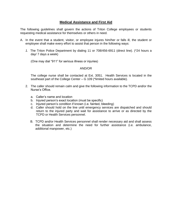## **Medical Assistance and First Aid**

The following guidelines shall govern the actions of Triton College employees or students requesting medical assistance for themselves or others in need.

- A. In the event that a student, visitor, or employee injures him/her or falls ill, the student or employee shall make every effort to assist that person in the following ways:
	- *1.* The Triton Police Department by dialing 11 or 708/456-6911 (direct line). (\*24 hours a day/ 7 days a week)

(One may dial "911" for serious illness or injuries)

#### AND/OR

The college nurse shall be contacted at Ext. 3051. Health Services is located in the southeast part of the College Center – G 109 (\*limited hours available).

- 2. The caller should remain calm and give the following information to the TCPD and/or the Nurse's Office.
	- a. Caller's name and location
	- b. Injured person's exact location (must be specific)
	- c. Injured person's condition if known (i.e. fainted, bleeding)
	- d. Caller should hold on the line until emergency services are dispatched and should return to the injured party and wait for assistance to arrive or as directed by the TCPD or Health Services personnel.
	- B. TCPD and/or Health Services personnel shall render necessary aid and shall assess the situation and determine the need for further assistance (i.e. ambulance, additional manpower, etc.)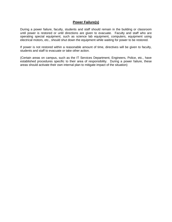## **Power Failure(s)**

During a power failure, faculty, students and staff should remain in the building or classroom until power is restored or until directions are given to evacuate. Faculty and staff who are operating special equipment, such as science lab equipment, computers, equipment using electrical motors, etc., should shut down the equipment while waiting for power to be restored.

If power is not restored within a reasonable amount of time, directives will be given to faculty, students and staff to evacuate or take other action.

(Certain areas on campus, such as the IT Services Department, Engineers, Police, etc., have established procedures specific to their area of responsibility. During a power failure, these areas should activate their own internal plan to mitigate impact of the situation)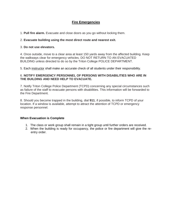# **Fire Emergencies**

1. **Pull fire alarm.** Evacuate and close doors as you go without locking them.

## 2. **Evacuate building using the most direct route and nearest exit.**

### 3. **Do not use elevators.**

4. Once outside, move to a clear area at least 150 yards away from the affected building. Keep the walkways clear for emergency vehicles. DO NOT RETURN TO AN EVACUATED BUILDING unless directed to do so by the Triton College POLICE DEPARTMENT.

5. Each instructor shall make an accurate check of all students under their responsibility.

### 6. **NOTIFY EMERGENCY PERSONNEL OF PERSONS WITH DISABILITIES WHO ARE IN THE BUILDING AND NEED HELP TO EVACUATE.**

7. Notify Triton College Police Department (TCPD) concerning any special circumstances such as failure of the staff to evacuate persons with disabilities. This information will be forwarded to the Fire Department.

8. Should you become trapped in the building, dial **911**, if possible, to inform TCPD of your location. If a window is available, attempt to attract the attention of TCPD or emergency response personnel.

### **When Evacuation is Complete**

- 1. The class or work group shall remain in a tight group until further orders are received.
- 2. When the building is ready for occupancy, the police or fire department will give the reentry order.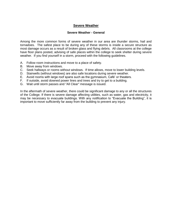## **Severe Weather**

#### **Severe Weather - General**

Among the more common forms of severe weather in our area are thunder storms, hail and tornadoes. The safest place to be during any of these storms is inside a secure structure as most damage occurs as a result of broken glass and flying debris. All classrooms at the college have floor plans posted, advising of safe places within the college to seek shelter during severe weather. If you find yourself in a storm, proceed with the following guidelines.

- A. Follow room instructions and move to a place of safety.
- B. Move away from windows.
- C. Seek hallways or rooms without windows. If time allows, move to lower building levels.
- D. Stairwells (without windows) are also safe locations during severe weather.
- E. Avoid rooms with large roof spans such as the gymnasium, Café' or theaters.
- F. If outside, avoid downed power lines and trees and try to get to a building.
- G. Wait until storm passes and "All Clear" message is issued.

In the aftermath of severe weather, there could be significant damage to any or all the structures of the College. If there is severe damage affecting utilities, such as water, gas and electricity, it may be necessary to evacuate buildings. With any notification to "Evacuate the Building", it is important to move sufficiently far away from the building to prevent any injury.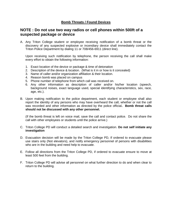## **Bomb Threats / Found Devices**

# **NOTE : Do not use two way radios or cell phones within 500ft of a suspected package or device**

A. Any Triton College student or employee receiving notification of a bomb threat or the discovery of any suspected explosive or incendiary device shall immediately contact the Triton Police Department by dialing 11 or 708/456-6911 (direct line).

Upon receiving such notification by telephone, the person receiving the call shall make every effort to obtain the following information:

- 1. Exact location of the device or package & time of detonation
- 2. Description of the device & location. (What is it in or how is it concealed)
- 3. Name of caller and/or organization affiliation & their location.
- 4. Reason bomb was placed on campus
- 5. Phone number of telephone from which call was received on.
- 6. Any other information as description of caller and/or his/her location (speech, background noises, exact language used, special identifying characteristics, sex, race, age, etc.).
- B. Upon making notification to the police department, each student or employee shall also report the identity of any persons who may have overheard the call, whether or not the call was recorded and other information as directed by the police official**. Bomb threat calls should not be discussed with any other personnel.**

(If the bomb threat is left on voice mail, save the call and contact police. Do not share the call with other employees or students until the police arrive.)

- C. Triton College PD will conduct a detailed search and investigation. **Do not self initiate any investigation**
- D. Evacuation decision will be made by the Triton College PD, If ordered to evacuate please use stairs only (Not elevators), and notify emergency personnel of persons with disabilities who are in the building and need help to evacuate.
- E. Follow all directions from the Triton College PD, if ordered to evacuate ensure to move at least 500 feet from the building.
- F. Triton College PD will advise all personnel on what further direction to do and when clear to return to the building.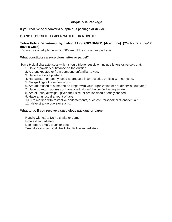## **Suspicious Package**

#### **If you receive or discover a suspicious package or device:**

### **DO NOT TOUCH IT, TAMPER WITH IT, OR MOVE IT!**

#### **Triton Police Department by dialing 11 or 708/456-6911 (direct line). (\*24 hours a day/ 7 days a week)**

\*Do not use a cell phone within 500 feet of the suspicious package.

#### **What constitutes a suspicious letter or parcel?**

Some typical characteristics which should trigger suspicion include letters or parcels that:

- 1. Have a powdery substance on the outside.
- 2. Are unexpected or from someone unfamiliar to you.
- 3. Have excessive postage.
- 4. Handwritten on poorly typed addresses, incorrect titles or titles with no name.
- 5. Misspellings of common words.
- 6. Are addressed to someone no longer with your organization or are otherwise outdated.
- 7. Have no return address or have one that can't be verified as legitimate.
- 8. Are of unusual weight, given their size, or are lopsided or oddly shaped.
- 9. Have an unusual amount of tape.
- 10. Are marked with restrictive endorsements, such as "Personal" or "Confidential."
- 11. Have strange odors or stains.

#### **What to do if you receive a suspicious package or parcel:**

Handle with care. Do no shake or bump. Isolate it immediately. Don't open, smell, touch or taste. Treat it as suspect. Call the Triton Police immediately.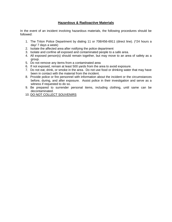## **Hazardous & Radioactive Materials**

In the event of an incident involving hazardous materials, the following procedures should be followed:

- 1. The Triton Police Department by dialing 11 or 708/456-6911 (direct line). (\*24 hours a day/ 7 days a week)
- 2. Isolate the affected area after notifying the police department
- 3. Isolate and confine all exposed and contaminated people to a safe area.
- 4. All exposed person(s) should remain together, but may move to an area of safety as a group.
- 5. Do not remove any items from a contaminated area
- 6. If not exposed, remain at least 500 yards from the area to avoid exposure.
- 7. Do not eat, drink, or smoke in the area. Do not use food or drinking water that may have been in contact with the material from the incident.
- 8. Provide police or fire personnel with information about the incident or the circumstances before, during, and after exposure. Assist police in their investigation and serve as a witness if requested to do so.
- 9. Be prepared to surrender personal items, including clothing, until same can be decontaminated.
- 10. DO NOT COLLECT SOUVENIRS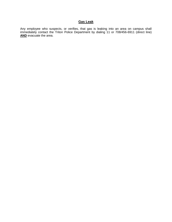## **Gas Leak**

Any employee who suspects, or verifies, that gas is leaking into an area on campus shall immediately contact the Triton Police Department by dialing 11 or 708/456-6911 (direct line) AND evacuate the area.